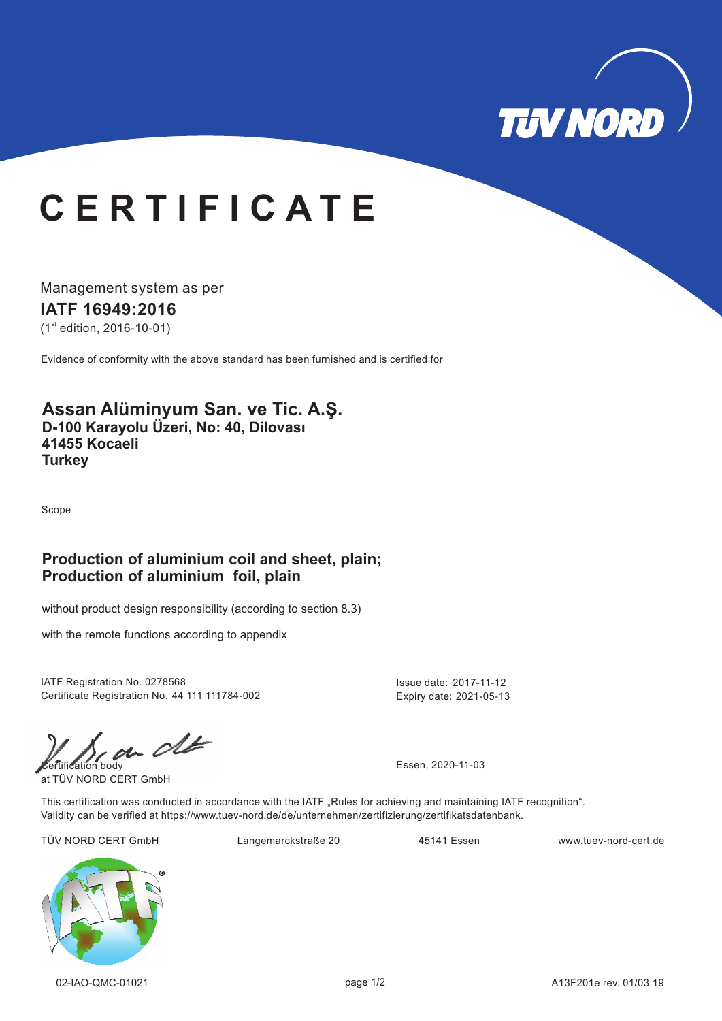

# **C E R T I F I C A T E**

Management system as per

**IATF 16949: 16 20**

 $(1<sup>st</sup>$  edition, 2016-10-01)

Evidence of conformity with the above standard has been furnished and is certified for

## **Assan Alüminyum San. ve Tic. A.Ş. D-100 Karayolu Üzeri, No: 40, Dilovası**

**41455 Kocaeli Turkey**

Scope

### **Production of aluminium coil and sheet, plain; Production of aluminium foil, plain**

without product design responsibility (according to section 8.3)

with the remote functions according to appendix

IATF Registration No. 0278568 Issue date: 2017-11-12 Certificate Registration No. 44 111 111784-002

Expiry date: 2021-05-13

 $\omega$  of  $\omega$ 

at TÜV NORD CERT GmbH

This certification was conducted in accordance with the IATF "Rules for achieving and maintaining IATF recognition". Validity can be verified at https://www.tuev-nord.de/de/unternehmen/zertifizierung/zertifikatsdatenbank.

TÜV NORD CERT GmbH Langemarckstraße 20 45141 Essen www.tuev-nord-cert.de